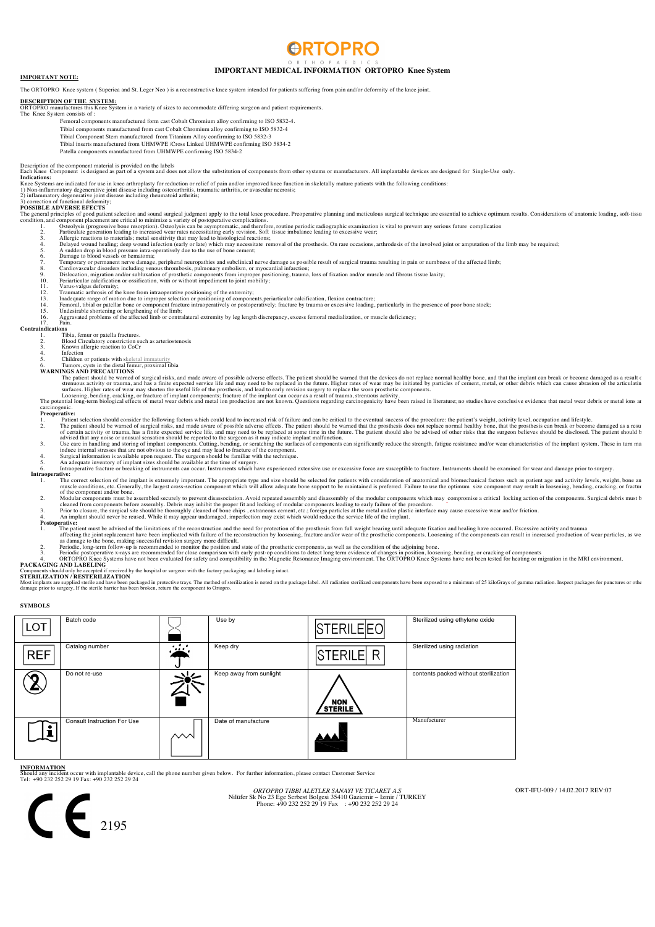# **RTOPRC**

## **IMPORTANT MEDICAL INFORMATION ORTOPRO Knee System IMPORTANT NOTE:**

The ORTOPRO Knee system (Superica and St. Leger Neo) is a reconstructive knee system intended for patients suffering from pain and/or deformity of the knee joint

**DESCRIPTION OF THE SYSTEM:** ORTOPRO manufactures this Knee System in a variety of sizes to accommodate differing surgeon and patient requirements. The Knee System consists of :

- Femoral components manufactured form cast Cobalt Chromium alloy confirming to ISO 5832-4.
- Tibial components manufactured from cast Cobalt Chromium alloy confirming to ISO 5832-4 Tibial Component Stem manufactured from Titanium Alloy confirming to ISO 5832-3
	- Tibial inserts manufactured from UHMWPE /Cross Linked UHMWPE confirming ISO 5834-2
	- Patella components manufactured from UHMWPE confirming ISO 5834-2

.<br>Description of the component material is provided on the labels<br>Each Knee Component is designed as part of a system and does not allow the substitution of components from other systems or manufacturers. All implantable d **Indications:**

## Knee Systems are indicated for use in knee arthroplasty for reduction or relief of pain and/or improved knee function in skeletally mature patients with the following conditions:<br>1) Non-inflammatory degenerative joint dise

## 3) correction of functional deformity; **POSSIBLE ADVERSE EFECTS**

- The general principles of good patient selection and sound surgical judgment apply to the total knee procedure. Preoperative planning and meticulous surgical technique are essential to achieve optimum results. Consideratio
	- -
		-
		-
		-
		-

- 
- 
- 
- 12. Traumatic arthrosis of the knee from intraoperative positioning of the extremity;<br>13. Inadequate range of motion due to improper selection or positioning of components,periarticular calcification, flexion contracture;<br>

## **indications**<br>1. T Is<br>Tibia, femur or patella fractures.

- 2. Blood Circulatory constriction such as arteriostenosis 3. Known allergic reaction to CoCr 4. Infection
- 
- 

5. Children or patients with skeletal immaturity 6. Tumors, cysts in the distal femur, proximal tibia **WARNINGS AND PRECAUTIONS** 

- The patient should be wanted of surget and media and media the developed and media be and the developed and media and the step and the developed as a result of surfaces. Higher rates of warm and has a finite expected servi
	-
- 

- Properative:<br>
Properative:<br>
1. Patient selection should consider the following factors which could lead to increased risk of failure and can be critical to the eventual success of the procedure: the patient's weight, activ
	-
	-
	-
	-
- 
- - The correct selection of the implant is extremely important. The appropriate type and size should be selected for patients with consideration of anatomical and biomechanical factors such as patient age and activity levels, muscle conditions, etc. Generally, the largest cross-section component of the component and/or bone. or the component and/or bone.<br>2. Modular components must be assembled securely to prevent disassociation. Avoid repeated assembly and disassembly of the modular components which may compromise a critical locking action of
	-
	- cleaned from components before assembly. Debris may inhibit the proper fit and locking of modular components leading to early failure of the procedure.<br>3. Prior to closure, the surgical site should be thoroughly cleaned of
	-

- **Postperative**<br>1. The patient must be advised of the limitations of the reconstruction and the need for protection of the prosthesis from full weight bearing until adequate fixation and healing have occurred. Excessive act
	-
	-

- 
- Components should only be accepted if received by the hospital or surgeon with the factory packaging and labeling intact.<br>**STERILIZATION / RESTERILIZATION**

Most implants are supplied sterile and have been packaged in protective trays. The method of sterilization is noted on the package label. All radiation sterilized components have been exposed to a minimum of 25 kiloGrays o

**SYMBOLS** 

| <b>LOT</b> | Batch code                  |               | Use by                  | STERILEEO                    | Sterilized using ethylene oxide       |
|------------|-----------------------------|---------------|-------------------------|------------------------------|---------------------------------------|
| <b>REF</b> | Catalog number              | .<br>$\cdots$ | Keep dry                | <b>STERILE</b><br>R          | Sterilized using radiation            |
|            | Do not re-use               |               | Keep away from sunlight | <b>NON</b><br><b>STERILE</b> | contents packed without sterilization |
|            | Consult Instruction For Use | ∼∿            | Date of manufacture     |                              | Manufacturer                          |

## **INFORMATION**

Should any incident occur with implantable device, call the phone number given below. For further information, please contact Customer Service Tel: +90 232 252 29 19 Fax: +90 232 252 29 24

*ORTOPRO TIBBI ALETLER SANAYI VE TICARET A.S* Nilüfer Sk No 23 Ege Serbest Bolgesi 35410 Gaziemir – Izmir / TURKEY Phone: +90 232 252 29 19 Fax : +90 232 252 29 24